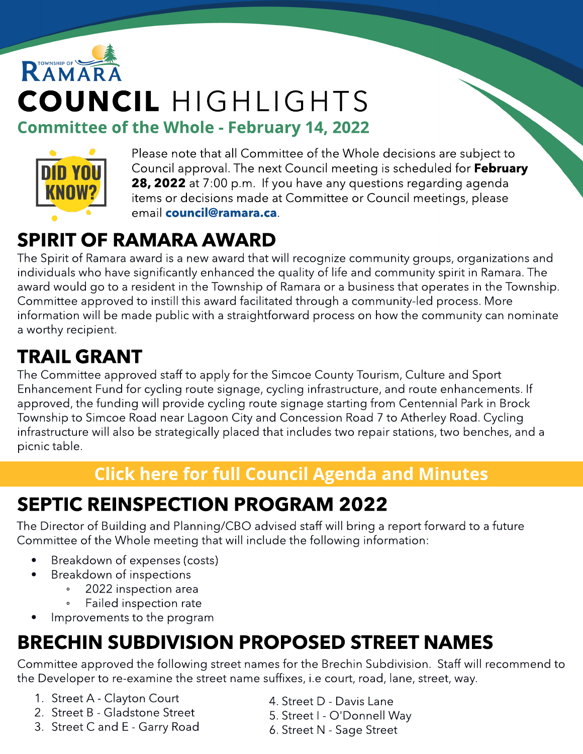# RAMAR COUNCIL HIGHLIGHTS **Committee of the Whole - February 14, 2022**



Please note that all Committee of the Whole decisions are subject to Council approval. The next Council meeting is scheduled for February 28, 2022 at 7:00 p.m. If you have any questions regarding agenda items or decisions made at Committee or Council meetings, please email [council@ramara.ca](mailto:council@ramara.ca).

### SPIRIT OF RAMARA AWARD

The Spirit of Ramara award is a new award that will recognize community groups, organizations and individuals who have significantly enhanced the quality of life and community spirit in Ramara. The award would go to a resident in the Township of Ramara or a business that operates in the Township. Committee approved to instill this award facilitated through a community-led process. More information will be made public with a straightforward process on how the community can nominate a worthy recipient.

#### TRAIL GRANT

The Committee approved staff to apply for the Simcoe County Tourism, Culture and Sport Enhancement Fund for cycling route signage, cycling infrastructure, and route enhancements. If approved, the funding will provide cycling route signage starting from Centennial Park in Brock Township to Simcoe Road near Lagoon City and Concession Road 7 to Atherley Road. Cycling infrastructure will also be strategically placed that includes two repair stations, two benches, and a picnic table.

#### **[Click](https://ramara.civicweb.net/portal/) [here](https://ramara.civicweb.net/portal/) [for](https://ramara.civicweb.net/portal/) [full](https://ramara.civicweb.net/portal/) [Council](https://ramara.civicweb.net/portal/) [Agenda](https://ramara.civicweb.net/portal/) [and](https://ramara.civicweb.net/portal/) [Minut](https://ramara.civicweb.net/portal/)es**

## SEPTIC REINSPECTION PROGRAM 2022

The Director of Building and Planning/CBO advised staff will bring a report forward to a future Committee of the Whole meeting that will include the following information:

- Breakdown of expenses (costs)
- Breakdown of inspections
	- 2022 inspection area
	- Failed inspection rate
- Improvements to the program

### BRECHIN SUBDIVISION PROPOSED STREET NAMES

Committee approved the following street names for the Brechin Subdivision. Staff will recommend to the Developer to re-examine the street name suffixes, i.e court, road, lane, street, way.

- 1. Street A Clayton Court
- 2. Street B Gladstone Street
- 3. Street C and E Garry Road
- 4. Street D Davis Lane
- 5. Street I O'Donnell Way
- 6. Street N Sage Street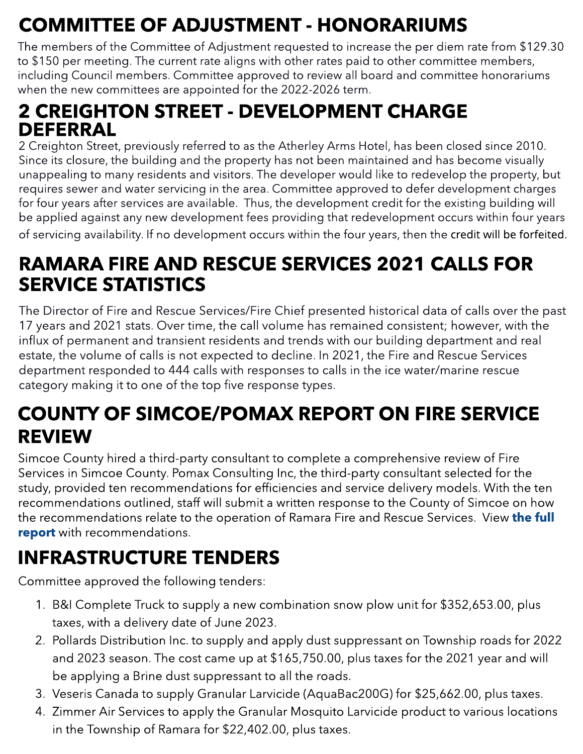## COMMITTEE OF ADJUSTMENT - HONORARIUMS

The members of the Committee of Adjustment requested to increase the per diem rate from \$129.30 to \$150 per meeting. The current rate aligns with other rates paid to other committee members, including Council members. Committee approved to review all board and committee honorariums when the new committees are appointed for the 2022-2026 term.

#### 2 CREIGHTON STREET - DEVELOPMENT CHARGE DEFERRAL

2 Creighton Street, previously referred to as the Atherley Arms Hotel, has been closed since 2010. Since its closure, the building and the property has not been maintained and has become visually unappealing to many residents and visitors. The developer would like to redevelop the property, but requires sewer and water servicing in the area. Committee approved to defer development charges for four years after services are available. Thus, the development credit for the existing building will be applied against any new development fees providing that redevelopment occurs within four years of servicing availability. If no development occurs within the four years, then the credit will be forfeited.

#### RAMARA FIRE AND RESCUE SERVICES 2021 CALLS FOR SERVICE STATISTICS

estate, the volume of early is not expected to deemic. In 2021, the rife and rescue service department responded to 444 calls with responses to calls in the ice water/marine rescue The Director of Fire and Rescue Services/Fire Chief presented historical data of calls over the past 17 years and 2021 stats. Over time, the call volume has remained consistent; however, with the influx of permanent and transient residents and trends with our building department and real estate, the volume of calls is not expected to decline. In 2021, the Fire and Rescue Services category making it to one of the top five response types.

#### COUNTY OF SIMCOE/POMAX REPORT ON FIRE SERVICE REVIEW

Simcoe County hired a third-party consultant to complete a comprehensive review of Fire Services in Simcoe County. Pomax Consulting Inc, the third-party consultant selected for the study, provided ten recommendations for efficiencies and service delivery models. With the ten recommendations outlined, staff will submit a written response to the County of Simcoe on how [the](https://ramara.civicweb.net/document/58952/County%20of%20Simcoe%20_%20Pomax%20Report%20on%20Fire%20Service.pdf?handle=30224B2C9D484170A7A3461A75A6A4F2) recommendations relate to the operation of Ramara Fire and Rescue Services. View the [full](https://ramara.civicweb.net/document/58952/County%20of%20Simcoe%20_%20Pomax%20Report%20on%20Fire%20Service.pdf?handle=30224B2C9D484170A7A3461A75A6A4F2) [report](https://ramara.civicweb.net/document/58952/County%20of%20Simcoe%20_%20Pomax%20Report%20on%20Fire%20Service.pdf?handle=30224B2C9D484170A7A3461A75A6A4F2) with recommendations.

## INFRASTRUCTURE TENDERS

Committee approved the following tenders:

- 1. B&I Complete Truck to supply a new combination snow plow unit for \$352,653.00, plus taxes, with a delivery date of June 2023.
- 2. Pollards Distribution Inc. to supply and apply dust suppressant on Township roads for 2022 and 2023 season. The cost came up at \$165,750.00, plus taxes for the 2021 year and will be applying a Brine dust suppressant to all the roads.
- 3. Veseris Canada to supply Granular Larvicide (AquaBac200G) for \$25,662.00, plus taxes.
- 4. Zimmer Air Services to apply the Granular Mosquito Larvicide product to various locations in the Township of Ramara for \$22,402.00, plus taxes.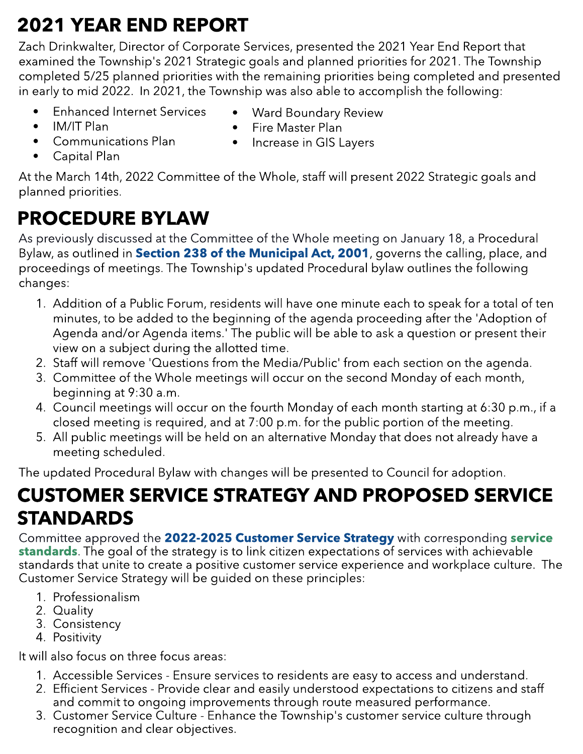## 2021 YEAR END REPORT

Zach Drinkwalter, Director of Corporate Services, presented the 2021 Year End Report that examined the Township's 2021 Strategic goals and planned priorities for 2021. The Township completed 5/25 planned priorities with the remaining priorities being completed and presented in early to mid 2022. In 2021, the Township was also able to accomplish the following:

- Enhanced Internet Services
- Ward Boundary Review

- IM/IT Plan

- Capital Plan

- Communications Plan
- Fire Master Plan
- 
- Increase in GIS Layers

At the March 14th, 2022 Committee of the Whole, staff will present 2022 Strategic goals and planned priorities.

## PROCEDURE BYLAW

As previously discussed at the Committee of the Whole meeting on January 18, a Procedural Bylaw, as outlined in [Section](https://www.ontario.ca/laws/statute/01m25) [238](https://www.ontario.ca/laws/statute/01m25) [of](https://www.ontario.ca/laws/statute/01m25) [the](https://www.ontario.ca/laws/statute/01m25) [Municipal](https://www.ontario.ca/laws/statute/01m25) [Act,](https://www.ontario.ca/laws/statute/01m25) [2001](https://www.ontario.ca/laws/statute/01m25), governs the calling, place, and proceedings of meetings. The Township's updated Procedural bylaw outlines the following changes:

- 1. Addition of a Public Forum, residents will have one minute each to speak for a total of ten minutes, to be added to the beginning of the agenda proceeding after the 'Adoption of Agenda and/or Agenda items.' The public will be able to ask a question or present their view on a subject during the allotted time.
- 2. Staff will remove 'Questions from the Media/Public' from each section on the agenda.
- 3. Committee of the Whole meetings will occur on the second Monday of each month, beginning at 9:30 a.m.
- 4. Council meetings will occur on the fourth Monday of each month starting at 6:30 p.m., if a closed meeting is required, and at 7:00 p.m. for the public portion of the meeting.
- 5. All public meetings will be held on an alternative Monday that does not already have a meeting scheduled.

The updated Procedural Bylaw with changes will be presented to Council for adoption.

#### CUSTOMER SERVICE STRATEGY AND PROPOSED SERVICE STANDARDS

Committee approved the [2022-2025](https://ramara.civicweb.net/document/58875/Customer%20Service%20Strategy%20with%20Service%20Standard.pdf#page=18) [Customer](https://ramara.civicweb.net/document/58875/Customer%20Service%20Strategy%20with%20Service%20Standard.pdf#page=18) [Service](https://ramara.civicweb.net/document/58875/Customer%20Service%20Strategy%20with%20Service%20Standard.pdf#page=18) [Strategy](https://ramara.civicweb.net/document/58875/Customer%20Service%20Strategy%20with%20Service%20Standard.pdf#page=18) with corresponding [service](https://ramara.civicweb.net/document/58875/Customer%20Service%20Strategy%20with%20Service%20Standard.pdf#page=7) [standards](https://ramara.civicweb.net/document/58875/Customer%20Service%20Strategy%20with%20Service%20Standard.pdf#page=7). The goal of the strategy is to link citizen expectations of services with achievable standards that unite to create a positive customer service experience and workplace culture. The Customer Service Strategy will be quided on these principles:

- 1. Professionalism
- 2. Quality
- 3. Consistency
- 4. Positivity

It will also focus on three focus areas:

- 1. Accessible Services Ensure services to residents are easy to access and understand.
- 2. Efficient Services Provide clear and easily understood expectations to citizens and staff and commit to ongoing improvements through route measured performance.
- 3. Customer Service Culture Enhance the Township's customer service culture through recognition and clear objectives.